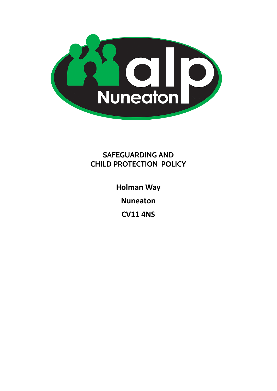

# **SAFEGUARDING AND CHILD PROTECTION POLICY**

**Holman Way**

**Nuneaton**

**CV11 4NS**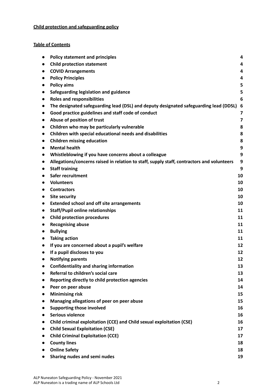## **Child protection and safeguarding policy**

## **Table of Contents**

| $\bullet$ | <b>Policy statement and principles</b>                                                     | 4                       |
|-----------|--------------------------------------------------------------------------------------------|-------------------------|
|           | <b>Child protection statement</b>                                                          | 4                       |
| $\bullet$ | <b>COVID Arrangements</b>                                                                  | 4                       |
|           | <b>Policy Principles</b>                                                                   | 4                       |
| $\bullet$ | <b>Policy aims</b>                                                                         | 5                       |
| $\bullet$ | Safeguarding legislation and guidance                                                      | 5                       |
| $\bullet$ | <b>Roles and responsibilities</b>                                                          | 6                       |
| $\bullet$ | The designated safeguarding lead (DSL) and deputy designated safeguarding lead (DDSL)      | 6                       |
| $\bullet$ | Good practice guidelines and staff code of conduct                                         | 7                       |
| $\bullet$ | Abuse of position of trust                                                                 | $\overline{\mathbf{z}}$ |
| $\bullet$ | Children who may be particularly vulnerable                                                | 8                       |
| $\bullet$ | Children with special educational needs and disabilities                                   | 8                       |
| $\bullet$ | <b>Children missing education</b>                                                          | 8                       |
| $\bullet$ | <b>Mental health</b>                                                                       | 9                       |
| $\bullet$ | Whistleblowing if you have concerns about a colleague                                      | 9                       |
|           | Allegations/concerns raised in relation to staff, supply staff, contractors and volunteers | 9                       |
| $\bullet$ | <b>Staff training</b>                                                                      | 9                       |
|           | Safer recruitment                                                                          | 10                      |
|           | <b>Volunteers</b>                                                                          | 10                      |
|           | <b>Contractors</b>                                                                         | 10                      |
| $\bullet$ | <b>Site security</b>                                                                       | 10                      |
| $\bullet$ | <b>Extended school and off site arrangements</b>                                           | 10                      |
| $\bullet$ | <b>Staff/Pupil online relationships</b>                                                    | 11                      |
| $\bullet$ | <b>Child protection procedures</b>                                                         | 11                      |
| $\bullet$ | <b>Recognising abuse</b>                                                                   | 11                      |
| $\bullet$ | <b>Bullying</b>                                                                            | 11                      |
| $\bullet$ | <b>Taking action</b>                                                                       | 11                      |
|           | If you are concerned about a pupil's welfare                                               | 12                      |
|           | If a pupil discloses to you                                                                | 12                      |
|           | <b>Notifying parents</b>                                                                   | 12                      |
|           | <b>Confidentiality and sharing information</b>                                             | 13                      |
|           | Referral to children's social care                                                         | 13                      |
| $\bullet$ | Reporting directly to child protection agencies                                            | 14                      |
|           | Peer on peer abuse                                                                         | 14                      |
|           | <b>Minimising risk</b>                                                                     | 15                      |
|           | Managing allegations of peer on peer abuse                                                 | 15                      |
|           | <b>Supporting those involved</b>                                                           | 16                      |
|           | <b>Serious violence</b>                                                                    | 16                      |
| $\bullet$ | Child criminal exploitation (CCE) and Child sexual exploitation (CSE)                      | 16                      |
|           | <b>Child Sexual Exploitation (CSE)</b>                                                     | 17                      |
| $\bullet$ | <b>Child Criminal Exploitation (CCE)</b>                                                   | 17                      |
|           | <b>County lines</b>                                                                        | 18                      |
|           | <b>Online Safety</b>                                                                       | 18                      |
|           | Sharing nudes and semi nudes                                                               | 19                      |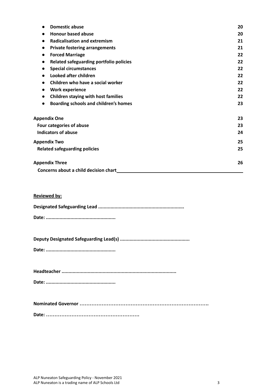| <b>Domestic abuse</b><br>$\bullet$                      | 20 |
|---------------------------------------------------------|----|
| <b>Honour based abuse</b>                               | 20 |
| <b>Radicalisation and extremism</b><br>$\bullet$        | 21 |
| <b>Private fostering arrangements</b><br>$\bullet$      | 21 |
| <b>Forced Marriage</b><br>$\bullet$                     | 22 |
| Related safeguarding portfolio policies<br>$\bullet$    | 22 |
| <b>Special circumstances</b><br>$\bullet$               | 22 |
| Looked after children                                   | 22 |
| Children who have a social worker                       | 22 |
| <b>Work experience</b><br>$\bullet$                     | 22 |
| <b>Children staying with host families</b><br>$\bullet$ | 22 |
| Boarding schools and children's homes<br>$\bullet$      | 23 |
| <b>Appendix One</b>                                     | 23 |
| Four categories of abuse                                | 23 |
| <b>Indicators of abuse</b>                              | 24 |
| <b>Appendix Two</b>                                     | 25 |
| <b>Related safeguarding policies</b>                    | 25 |
| <b>Appendix Three</b>                                   | 26 |
| Concerns about a child decision chart                   |    |

## **Reviewed by:**

**Deputy Designated Safeguarding Lead(s) ...................................................**

**Date: ...................................................**

**Headteacher ....................................................................................**

**Date: ...................................................**

**Nominated Governor ………………………………………………………………….**

**Date: ……………………………………………….**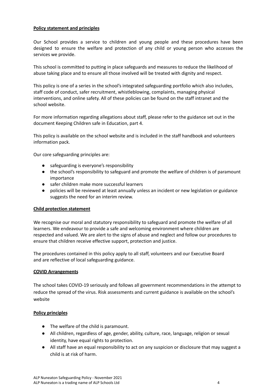#### **Policy statement and principles**

Our School provides a service to children and young people and these procedures have been designed to ensure the welfare and protection of any child or young person who accesses the services we provide.

This school is committed to putting in place safeguards and measures to reduce the likelihood of abuse taking place and to ensure all those involved will be treated with dignity and respect.

This policy is one of a series in the school's integrated safeguarding portfolio which also includes, staff code of conduct, safer recruitment, whistleblowing, complaints, managing physical interventions, and online safety. All of these policies can be found on the staff intranet and the school website.

For more information regarding allegations about staff, please refer to the guidance set out in the document Keeping Children safe in Education, part 4.

This policy is available on the school website and is included in the staff handbook and volunteers information pack.

Our core safeguarding principles are:

- safeguarding is everyone's responsibility
- the school's responsibility to safeguard and promote the welfare of children is of paramount importance
- safer children make more successful learners
- policies will be reviewed at least annually unless an incident or new legislation or guidance suggests the need for an interim review.

#### **Child protection statement**

We recognise our moral and statutory responsibility to safeguard and promote the welfare of all learners. We endeavour to provide a safe and welcoming environment where children are respected and valued. We are alert to the signs of abuse and neglect and follow our procedures to ensure that children receive effective support, protection and justice.

The procedures contained in this policy apply to all staff, volunteers and our Executive Board and are reflective of local safeguarding guidance.

#### **COVID Arrangements**

The school takes COVID-19 seriously and follows all government recommendations in the attempt to reduce the spread of the virus. Risk assessments and current guidance is available on the school's website

#### **Policy principles**

- **●** The welfare of the child is paramount.
- All children, regardless of age, gender, ability, culture, race, language, religion or sexual identity, have equal rights to protection.
- All staff have an equal responsibility to act on any suspicion or disclosure that may suggest a child is at risk of harm.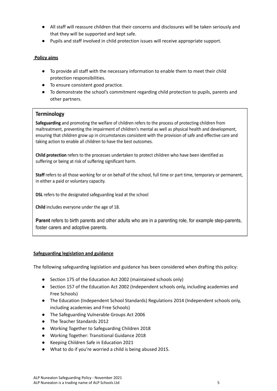- All staff will reassure children that their concerns and disclosures will be taken seriously and that they will be supported and kept safe.
- Pupils and staff involved in child protection issues will receive appropriate support.

#### **Policy aims**

- To provide all staff with the necessary information to enable them to meet their child protection responsibilities.
- To ensure consistent good practice.
- To demonstrate the school's commitment regarding child protection to pupils, parents and other partners.

#### **Terminology**

Safeguarding and promoting the welfare of children refers to the process of protecting children from maltreatment, preventing the impairment of children's mental as well as physical health and development, ensuring that children grow up in circumstances consistent with the provision of safe and effective care and taking action to enable all children to have the best outcomes.

Child protection refers to the processes undertaken to protect children who have been identified as suffering or being at risk of suffering significant harm.

Staff refers to all those working for or on behalf of the school, full time or part time, temporary or permanent, in either a paid or voluntary capacity.

DSL refers to the designated safeguarding lead at the school

Child includes everyone under the age of 18.

Parent refers to birth parents and other adults who are in a parenting role, for example step-parents, foster carers and adoptive parents.

#### **Safeguarding legislation and guidance**

The following safeguarding legislation and guidance has been considered when drafting this policy:

- Section 175 of the Education Act 2002 (maintained schools only)
- Section 157 of the Education Act 2002 (Independent schools only, including academies and Free Schools)
- The Education (Independent School Standards) Regulations 2014 (Independent schools only, including academies and Free Schools)
- The Safeguarding Vulnerable Groups Act 2006
- The Teacher Standards 2012
- Working Together to Safeguarding Children 2018
- Working Together: Transitional Guidance 2018
- Keeping Children Safe in Education 2021
- What to do if you're worried a child is being abused 2015.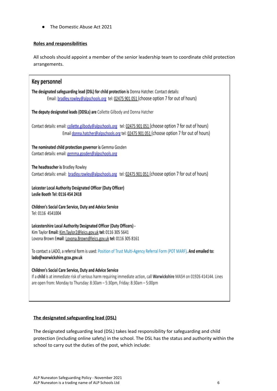● The Domestic Abuse Act 2021

## **Roles and responsibilities**

All schools should appoint a member of the senior leadership team to coordinate child protection arrangements.

| Key personnel                                                                                                                                                                                                                                                       |
|---------------------------------------------------------------------------------------------------------------------------------------------------------------------------------------------------------------------------------------------------------------------|
| The designated safeguarding lead (DSL) for child protection is Donna Hatcher. Contact details:<br>Email: bradley.rowley@alpschools.org tel: 02475 901 051 (choose option 7 for out of hours)                                                                        |
| The deputy designated leads (DDSLs) are Collette Gilbody and Donna Hatcher                                                                                                                                                                                          |
| Contact details: email: collette.gilbody@alpschools.org tel: 02475 901 051 (choose option 7 for out of hours)<br>Email donna.hatcher@alpschools.org tel: 02475 901 051 (choose option 7 for out of hours)                                                           |
| The nominated child protection governor is Gemma Gosden<br>Contact details: email: gemma.gosden@alpschools.org                                                                                                                                                      |
| The headteacher is Bradley Rowley<br>Contact details: email: bradley.rowley@alpschools.org tel: 02475 901 051 (choose option 7 for out of hours)                                                                                                                    |
| Leicester Local Authority Designated Officer (Duty Officer)<br>Leslie Booth Tel: 0116 454 2418                                                                                                                                                                      |
| Children's Social Care Service, Duty and Advice Service<br>Tel: 0116 4541004                                                                                                                                                                                        |
| Leicestershire Local Authority Designated Officer (Duty Officers) -<br>Kim Taylor Email: Kim.Taylor2@leics.gov.uk tel: 0116 305 5641<br>Lovona Brown Email: Lovona.Brown@leics.gov.uk tel: 0116 305 8161                                                            |
| To contact a LADO, a referral form is used: Position of Trust Multi-Agency Referral Form (POT MARF). And emailed to:<br>lado@warwickshire.gcsx.gov.uk                                                                                                               |
| Children's Social Care Service, Duty and Advice Service<br>If a child is at immediate risk of serious harm requiring immediate action, call Warwickshire MASH on 01926 414144. Lines<br>are open from: Monday to Thursday: 8:30am - 5:30pm, Friday: 8:30am - 5:00pm |
|                                                                                                                                                                                                                                                                     |

## **The designated safeguarding lead (DSL)**

The designated safeguarding lead (DSL) takes lead responsibility for safeguarding and child protection (including online safety) in the school. The DSL has the status and authority within the school to carry out the duties of the post, which include: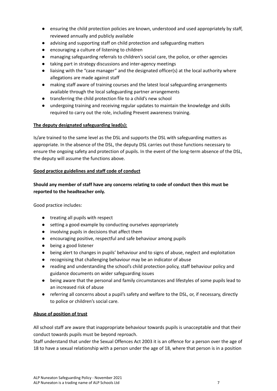- ensuring the child protection policies are known, understood and used appropriately by staff, reviewed annually and publicly available
- advising and supporting staff on child protection and safeguarding matters
- encouraging a culture of listening to children
- managing safeguarding referrals to children's social care, the police, or other agencies
- taking part in strategy discussions and inter-agency meetings
- liaising with the "case manager" and the designated officer(s) at the local authority where allegations are made against staff
- making staff aware of training courses and the latest local safeguarding arrangements available through the local safeguarding partner arrangements
- transferring the child protection file to a child's new school
- undergoing training and receiving regular updates to maintain the knowledge and skills required to carry out the role, including Prevent awareness training.

#### **The deputy designated safeguarding lead(s):**

Is/are trained to the same level as the DSL and supports the DSL with safeguarding matters as appropriate. In the absence of the DSL, the deputy DSL carries out those functions necessary to ensure the ongoing safety and protection of pupils. In the event of the long-term absence of the DSL, the deputy will assume the functions above.

#### **Good practice guidelines and staff code of conduct**

## **Should any member of staff have any concerns relating to code of conduct then this must be reported to the headteacher only.**

Good practice includes:

- treating all pupils with respect
- setting a good example by conducting ourselves appropriately
- involving pupils in decisions that affect them
- encouraging positive, respectful and safe behaviour among pupils
- being a good listener
- being alert to changes in pupils' behaviour and to signs of abuse, neglect and exploitation
- recognising that challenging behaviour may be an indicator of abuse
- reading and understanding the school's child protection policy, staff behaviour policy and guidance documents on wider safeguarding issues
- being aware that the personal and family circumstances and lifestyles of some pupils lead to an increased risk of abuse
- referring all concerns about a pupil's safety and welfare to the DSL, or, if necessary, directly to police or children's social care.

#### **Abuse of position of trust**

All school staff are aware that inappropriate behaviour towards pupils is unacceptable and that their conduct towards pupils must be beyond reproach.

Staff understand that under the Sexual Offences Act 2003 it is an offence for a person over the age of 18 to have a sexual relationship with a person under the age of 18, where that person is in a position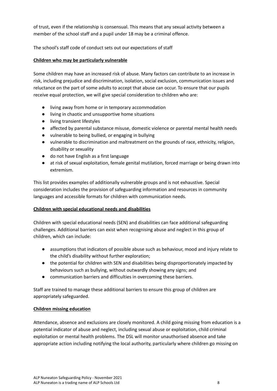of trust, even if the relationship is consensual. This means that any sexual activity between a member of the school staff and a pupil under 18 may be a criminal offence.

The school's staff code of conduct sets out our expectations of staff

## **Children who may be particularly vulnerable**

Some children may have an increased risk of abuse. Many factors can contribute to an increase in risk, including prejudice and discrimination, isolation, social exclusion, communication issues and reluctance on the part of some adults to accept that abuse can occur. To ensure that our pupils receive equal protection, we will give special consideration to children who are:

- living away from home or in temporary accommodation
- living in chaotic and unsupportive home situations
- living transient lifestyles
- affected by parental substance misuse, domestic violence or parental mental health needs
- vulnerable to being bullied, or engaging in bullying
- vulnerable to discrimination and maltreatment on the grounds of race, ethnicity, religion, disability or sexuality
- do not have English as a first language
- at risk of sexual exploitation, female genital mutilation, forced marriage or being drawn into extremism.

This list provides examples of additionally vulnerable groups and is not exhaustive. Special consideration includes the provision of safeguarding information and resources in community languages and accessible formats for children with communication needs.

#### **Children with special educational needs and disabilities**

Children with special educational needs (SEN) and disabilities can face additional safeguarding challenges. Additional barriers can exist when recognising abuse and neglect in this group of children, which can include:

- assumptions that indicators of possible abuse such as behaviour, mood and injury relate to the child's disability without further exploration;
- the potential for children with SEN and disabilities being disproportionately impacted by behaviours such as bullying, without outwardly showing any signs; and
- communication barriers and difficulties in overcoming these barriers.

Staff are trained to manage these additional barriers to ensure this group of children are appropriately safeguarded.

#### **Children missing education**

Attendance, absence and exclusions are closely monitored. A child going missing from education is a potential indicator of abuse and neglect, including sexual abuse or exploitation, child criminal exploitation or mental health problems. The DSL will monitor unauthorised absence and take appropriate action including notifying the local authority, particularly where children go missing on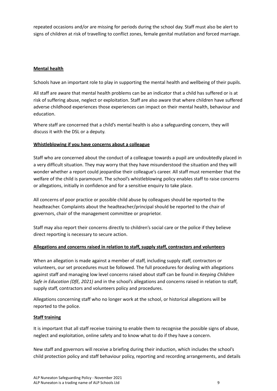repeated occasions and/or are missing for periods during the school day. Staff must also be alert to signs of children at risk of travelling to conflict zones, female genital mutilation and forced marriage.

## **Mental health**

Schools have an important role to play in supporting the mental health and wellbeing of their pupils.

All staff are aware that mental health problems can be an indicator that a child has suffered or is at risk of suffering abuse, neglect or exploitation. Staff are also aware that where children have suffered adverse childhood experiences those experiences can impact on their mental health, behaviour and education.

Where staff are concerned that a child's mental health is also a safeguarding concern, they will discuss it with the DSL or a deputy.

#### **Whistleblowing if you have concerns about a colleague**

Staff who are concerned about the conduct of a colleague towards a pupil are undoubtedly placed in a very difficult situation. They may worry that they have misunderstood the situation and they will wonder whether a report could jeopardise their colleague's career. All staff must remember that the welfare of the child is paramount. The school's whistleblowing policy enables staff to raise concerns or allegations, initially in confidence and for a sensitive enquiry to take place.

All concerns of poor practice or possible child abuse by colleagues should be reported to the headteacher. Complaints about the headteacher/principal should be reported to the chair of governors, chair of the management committee or proprietor.

Staff may also report their concerns directly to children's social care or the police if they believe direct reporting is necessary to secure action.

#### **Allegations and concerns raised in relation to staff, supply staff, contractors and volunteers**

When an allegation is made against a member of staff, including supply staff, contractors or volunteers, our set procedures must be followed. The full procedures for dealing with allegations against staff and managing low level concerns raised about staff can be found in *Keeping Children Safe in Education (DfE, 2021)* and in the school's allegations and concerns raised in relation to staff, supply staff, contractors and volunteers policy and procedures.

Allegations concerning staff who no longer work at the school, or historical allegations will be reported to the police.

#### **Staff training**

It is important that all staff receive training to enable them to recognise the possible signs of abuse, neglect and exploitation, online safety and to know what to do if they have a concern.

New staff and governors will receive a briefing during their induction, which includes the school's child protection policy and staff behaviour policy, reporting and recording arrangements, and details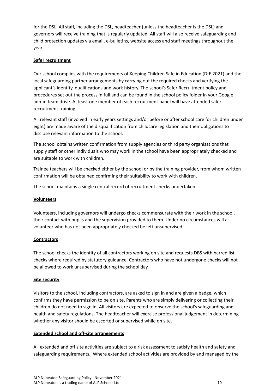for the DSL. All staff, including the DSL, headteacher (unless the headteacher is the DSL) and governors will receive training that is regularly updated. All staff will also receive safeguarding and child protection updates via email, e-bulletins, website access and staff meetings throughout the year.

## **Safer recruitment**

Our school complies with the requirements of Keeping Children Safe in Education (DfE 2021) and the local safeguarding partner arrangements by carrying out the required checks and verifying the applicant's identity, qualifications and work history. The school's Safer Recruitment policy and procedures set out the process in full and can be found in the school policy folder in your Google admin team drive. At least one member of each recruitment panel will have attended safer recruitment training.

All relevant staff (involved in early years settings and/or before or after school care for children under eight) are made aware of the disqualification from childcare legislation and their obligations to disclose relevant information to the school.

The school obtains written confirmation from supply agencies or third party organisations that supply staff or other individuals who may work in the school have been appropriately checked and are suitable to work with children.

Trainee teachers will be checked either by the school or by the training provider, from whom written confirmation will be obtained confirming their suitability to work with children.

The school maintains a single central record of recruitment checks undertaken.

#### **Volunteers**

Volunteers, including governors will undergo checks commensurate with their work in the school, their contact with pupils and the supervision provided to them. Under no circumstances will a volunteer who has not been appropriately checked be left unsupervised.

#### **Contractors**

The school checks the identity of all contractors working on site and requests DBS with barred list checks where required by statutory guidance. Contractors who have not undergone checks will not be allowed to work unsupervised during the school day.

#### **Site security**

Visitors to the school, including contractors, are asked to sign in and are given a badge, which confirms they have permission to be on site. Parents who are simply delivering or collecting their children do not need to sign in. All visitors are expected to observe the school's safeguarding and health and safety regulations. The headteacher will exercise professional judgement in determining whether any visitor should be escorted or supervised while on site.

## **Extended school and off-site arrangements**

All extended and off site activities are subject to a risk assessment to satisfy health and safety and safeguarding requirements. Where extended school activities are provided by and managed by the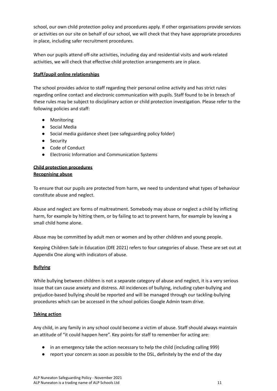school, our own child protection policy and procedures apply. If other organisations provide services or activities on our site on behalf of our school, we will check that they have appropriate procedures in place, including safer recruitment procedures.

When our pupils attend off-site activities, including day and residential visits and work-related activities, we will check that effective child protection arrangements are in place.

## **Staff/pupil online relationships**

The school provides advice to staff regarding their personal online activity and has strict rules regarding online contact and electronic communication with pupils. Staff found to be in breach of these rules may be subject to disciplinary action or child protection investigation. Please refer to the following policies and staff:

- Monitoring
- Social Media
- Social media guidance sheet (see safeguarding policy folder)
- Security
- Code of Conduct
- Electronic Information and Communication Systems

#### **Child protection procedures Recognising abuse**

To ensure that our pupils are protected from harm, we need to understand what types of behaviour constitute abuse and neglect.

Abuse and neglect are forms of maltreatment. Somebody may abuse or neglect a child by inflicting harm, for example by hitting them, or by failing to act to prevent harm, for example by leaving a small child home alone.

Abuse may be committed by adult men or women and by other children and young people.

Keeping Children Safe in Education (DfE 2021) refers to four categories of abuse. These are set out at Appendix One along with indicators of abuse.

#### **Bullying**

While bullying between children is not a separate category of abuse and neglect, it is a very serious issue that can cause anxiety and distress. All incidences of bullying, including cyber-bullying and prejudice-based bullying should be reported and will be managed through our tackling-bullying procedures which can be accessed in the school policies Google Admin team drive.

#### **Taking action**

Any child, in any family in any school could become a victim of abuse. Staff should always maintain an attitude of "it could happen here". Key points for staff to remember for acting are:

- in an emergency take the action necessary to help the child (including calling 999)
- report your concern as soon as possible to the DSL, definitely by the end of the day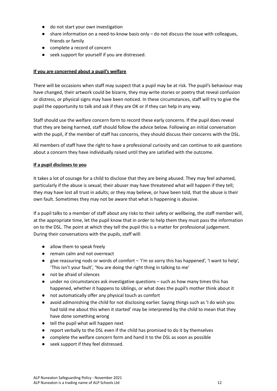- do not start your own investigation
- share information on a need-to-know basis only do not discuss the issue with colleagues, friends or family
- complete a record of concern
- seek support for yourself if you are distressed.

#### **If you are concerned about a pupil's welfare**

There will be occasions when staff may suspect that a pupil may be at risk. The pupil's behaviour may have changed, their artwork could be bizarre, they may write stories or poetry that reveal confusion or distress, or physical signs may have been noticed. In these circumstances, staff will try to give the pupil the opportunity to talk and ask if they are OK or if they can help in any way.

Staff should use the welfare concern form to record these early concerns. If the pupil does reveal that they are being harmed, staff should follow the advice below. Following an initial conversation with the pupil, if the member of staff has concerns, they should discuss their concerns with the DSL.

All members of staff have the right to have a professional curiosity and can continue to ask questions about a concern they have individually raised until they are satisfied with the outcome.

#### **If a pupil discloses to you**

It takes a lot of courage for a child to disclose that they are being abused. They may feel ashamed, particularly if the abuse is sexual; their abuser may have threatened what will happen if they tell; they may have lost all trust in adults; or they may believe, or have been told, that the abuse is their own fault. Sometimes they may not be aware that what is happening is abusive.

If a pupil talks to a member of staff about any risks to their safety or wellbeing, the staff member will, at the appropriate time, let the pupil know that in order to help them they must pass the information on to the DSL. The point at which they tell the pupil this is a matter for professional judgement. During their conversations with the pupils, staff will:

- allow them to speak freely
- remain calm and not overreact
- give reassuring nods or words of comfort 'I'm so sorry this has happened', 'I want to help', 'This isn't your fault', 'You are doing the right thing in talking to me'
- not be afraid of silences
- under no circumstances ask investigative questions such as how many times this has happened, whether it happens to siblings, or what does the pupil's mother think about it
- not automatically offer any physical touch as comfort
- avoid admonishing the child for not disclosing earlier. Saying things such as 'I do wish you had told me about this when it started' may be interpreted by the child to mean that they have done something wrong
- tell the pupil what will happen next
- report verbally to the DSL even if the child has promised to do it by themselves
- complete the welfare concern form and hand it to the DSL as soon as possible
- seek support if they feel distressed.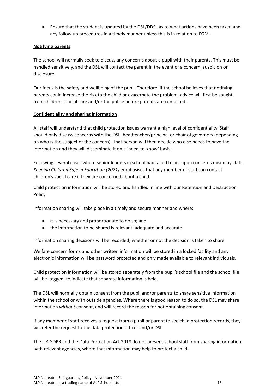● Ensure that the student is updated by the DSL/DDSL as to what actions have been taken and any follow up procedures in a timely manner unless this is in relation to FGM.

## **Notifying parents**

The school will normally seek to discuss any concerns about a pupil with their parents. This must be handled sensitively, and the DSL will contact the parent in the event of a concern, suspicion or disclosure.

Our focus is the safety and wellbeing of the pupil. Therefore, if the school believes that notifying parents could increase the risk to the child or exacerbate the problem, advice will first be sought from children's social care and/or the police before parents are contacted.

#### **Confidentiality and sharing information**

All staff will understand that child protection issues warrant a high level of confidentiality. Staff should only discuss concerns with the DSL, headteacher/principal or chair of governors (depending on who is the subject of the concern). That person will then decide who else needs to have the information and they will disseminate it on a 'need-to-know' basis.

Following several cases where senior leaders in school had failed to act upon concerns raised by staff, *Keeping Children Safe in Education (2021)* emphasises that any member of staff can contact children's social care if they are concerned about a child.

Child protection information will be stored and handled in line with our Retention and Destruction Policy.

Information sharing will take place in a timely and secure manner and where:

- it is necessary and proportionate to do so; and
- the information to be shared is relevant, adequate and accurate.

Information sharing decisions will be recorded, whether or not the decision is taken to share.

Welfare concern forms and other written information will be stored in a locked facility and any electronic information will be password protected and only made available to relevant individuals.

Child protection information will be stored separately from the pupil's school file and the school file will be 'tagged' to indicate that separate information is held.

The DSL will normally obtain consent from the pupil and/or parents to share sensitive information within the school or with outside agencies. Where there is good reason to do so, the DSL may share information *without* consent, and will record the reason for not obtaining consent.

If any member of staff receives a request from a pupil or parent to see child protection records, they will refer the request to the data protection officer and/or DSL.

The UK GDPR and the Data Protection Act 2018 do not prevent school staff from sharing information with relevant agencies, where that information may help to protect a child.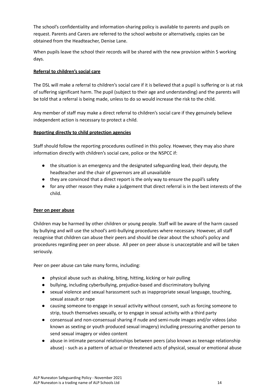The school's confidentiality and information-sharing policy is available to parents and pupils on request. Parents and Carers are referred to the school website or alternatively, copies can be obtained from the Headteacher, Denise Lane.

When pupils leave the school their records will be shared with the new provision within 5 working days.

## **Referral to children's social care**

The DSL will make a referral to children's social care if it is believed that a pupil is suffering or is at risk of suffering significant harm. The pupil (subject to their age and understanding) and the parents will be told that a referral is being made, unless to do so would increase the risk to the child.

Any member of staff may make a direct referral to children's social care if they genuinely believe independent action is necessary to protect a child.

## **Reporting directly to child protection agencies**

Staff should follow the reporting procedures outlined in this policy. However, they may also share information directly with children's social care, police or the NSPCC if:

- the situation is an emergency and the designated safeguarding lead, their deputy, the headteacher and the chair of governors are all unavailable
- they are convinced that a direct report is the only way to ensure the pupil's safety
- for any other reason they make a judgement that direct referral is in the best interests of the child.

#### **Peer on peer abuse**

Children may be harmed by other children or young people. Staff will be aware of the harm caused by bullying and will use the school's anti-bullying procedures where necessary. However, all staff recognise that children can abuse their peers and should be clear about the school's policy and procedures regarding peer on peer abuse. All peer on peer abuse is unacceptable and will be taken seriously.

Peer on peer abuse can take many forms, including:

- physical abuse such as shaking, biting, hitting, kicking or hair pulling
- bullying, including cyberbullying, prejudice-based and discriminatory bullying
- sexual violence and sexual harassment such as inappropriate sexual language, touching, sexual assault or rape
- causing someone to engage in sexual activity without consent, such as forcing someone to strip, touch themselves sexually, or to engage in sexual activity with a third party
- consensual and non-consensual sharing if nude and semi-nude images and/or videos (also known as sexting or youth produced sexual imagery) including pressuring another person to send sexual imagery or video content
- abuse in intimate personal relationships between peers (also known as teenage relationship abuse) - such as a pattern of actual or threatened acts of physical, sexual or emotional abuse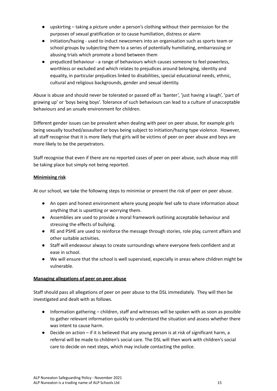- upskirting taking a picture under a person's clothing without their permission for the purposes of sexual gratification or to cause humiliation, distress or alarm
- initiation/hazing used to induct newcomers into an organisation such as sports team or school groups by subjecting them to a series of potentially humiliating, embarrassing or abusing trials which promote a bond between them
- prejudiced behaviour a range of behaviours which causes someone to feel powerless, worthless or excluded and which relates to prejudices around belonging, identity and equality, in particular prejudices linked to disabilities, special educational needs, ethnic, cultural and religious backgrounds, gender and sexual identity.

Abuse is abuse and should never be tolerated or passed off as 'banter', 'just having a laugh', 'part of growing up' or 'boys being boys'. Tolerance of such behaviours can lead to a culture of unacceptable behaviours and an unsafe environment for children.

Different gender issues can be prevalent when dealing with peer on peer abuse, for example girls being sexually touched/assaulted or boys being subject to initiation/hazing type violence. However, all staff recognise that it is more likely that girls will be victims of peer on peer abuse and boys are more likely to be the perpetrators.

Staff recognise that even if there are no reported cases of peer on peer abuse, such abuse may still be taking place but simply not being reported.

## **Minimising risk**

At our school, we take the following steps to minimise or prevent the risk of peer on peer abuse.

- An open and honest environment where young people feel safe to share information about anything that is upsetting or worrying them.
- Assemblies are used to provide a moral framework outlining acceptable behaviour and stressing the effects of bullying.
- RE and PSHE are used to reinforce the message through stories, role play, current affairs and other suitable activities.
- Staff will endeavour always to create surroundings where everyone feels confident and at ease in school.
- We will ensure that the school is well supervised, especially in areas where children might be vulnerable.

#### **Managing allegations of peer on peer abuse**

Staff should pass all allegations of peer on peer abuse to the DSL immediately. They will then be investigated and dealt with as follows.

- Information gathering children, staff and witnesses will be spoken with as soon as possible to gather relevant information quickly to understand the situation and assess whether there was intent to cause harm.
- $\bullet$  Decide on action if it is believed that any young person is at risk of significant harm, a referral will be made to children's social care. The DSL will then work with children's social care to decide on next steps, which may include contacting the police.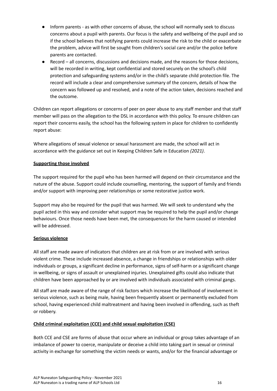- Inform parents as with other concerns of abuse, the school will normally seek to discuss concerns about a pupil with parents. Our focus is the safety and wellbeing of the pupil and so if the school believes that notifying parents could increase the risk to the child or exacerbate the problem, advice will first be sought from children's social care and/or the police before parents are contacted.
- Record all concerns, discussions and decisions made, and the reasons for those decisions, will be recorded in writing, kept confidential and stored securely on the school's child protection and safeguarding systems and/or in the child's separate child protection file. The record will include a clear and comprehensive summary of the concern, details of how the concern was followed up and resolved, and a note of the action taken, decisions reached and the outcome.

Children can report allegations or concerns of peer on peer abuse to any staff member and that staff member will pass on the allegation to the DSL in accordance with this policy. To ensure children can report their concerns easily, the school has the following system in place for children to confidently report abuse:

Where allegations of sexual violence or sexual harassment are made, the school will act in accordance with the guidance set out in Keeping Children Safe in Education *(2021)*.

#### **Supporting those involved**

The support required for the pupil who has been harmed will depend on their circumstance and the nature of the abuse. Support could include counselling, mentoring, the support of family and friends and/or support with improving peer relationships or some restorative justice work.

Support may also be required for the pupil that was harmed. We will seek to understand why the pupil acted in this way and consider what support may be required to help the pupil and/or change behaviours. Once those needs have been met, the consequences for the harm caused or intended will be addressed.

#### **Serious violence**

All staff are made aware of indicators that children are at risk from or are involved with serious violent crime. These include increased absence, a change in friendships or relationships with older individuals or groups, a significant decline in performance, signs of self-harm or a significant change in wellbeing, or signs of assault or unexplained injuries. Unexplained gifts could also indicate that children have been approached by or are involved with individuals associated with criminal gangs.

All staff are made aware of the range of risk factors which increase the likelihood of involvement in serious violence, such as being male, having been frequently absent or permanently excluded from school, having experienced child maltreatment and having been involved in offending, such as theft or robbery.

#### **Child criminal exploitation (CCE) and child sexual exploitation (CSE)**

Both CCE and CSE are forms of abuse that occur where an individual or group takes advantage of an imbalance of power to coerce, manipulate or deceive a child into taking part in sexual or criminal activity in exchange for something the victim needs or wants, and/or for the financial advantage or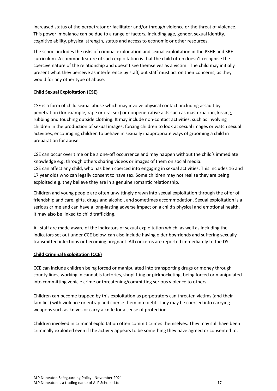increased status of the perpetrator or facilitator and/or through violence or the threat of violence. This power imbalance can be due to a range of factors, including age, gender, sexual identity, cognitive ability, physical strength, status and access to economic or other resources.

The school includes the risks of criminal exploitation and sexual exploitation in the PSHE and SRE curriculum. A common feature of such exploitation is that the child often doesn't recognise the coercive nature of the relationship and doesn't see themselves as a victim. The child may initially present what they perceive as interference by staff, but staff must act on their concerns, as they would for any other type of abuse.

## **Child Sexual Exploitation (CSE)**

CSE is a form of child sexual abuse which may involve physical contact, including assault by penetration (for example, rape or oral sex) or nonpenetrative acts such as masturbation, kissing, rubbing and touching outside clothing. It may include non-contact activities, such as involving children in the production of sexual images, forcing children to look at sexual images or watch sexual activities, encouraging children to behave in sexually inappropriate ways of grooming a child in preparation for abuse.

CSE can occur over time or be a one-off occurrence and may happen without the child's immediate knowledge e.g. through others sharing videos or images of them on social media. CSE can affect any child, who has been coerced into engaging in sexual activities. This includes 16 and 17 year olds who can legally consent to have sex. Some children may not realise they are being exploited e.g. they believe they are in a genuine romantic relationship.

Children and young people are often unwittingly drawn into sexual exploitation through the offer of friendship and care, gifts, drugs and alcohol, and sometimes accommodation. Sexual exploitation is a serious crime and can have a long-lasting adverse impact on a child's physical and emotional health. It may also be linked to child trafficking.

All staff are made aware of the indicators of sexual exploitation which, as well as including the indicators set out under CCE below, can also include having older boyfriends and suffering sexually transmitted infections or becoming pregnant. All concerns are reported immediately to the DSL.

#### **Child Criminal Exploitation (CCE)**

CCE can include children being forced or manipulated into transporting drugs or money through county lines, working in cannabis factories, shoplifting or pickpocketing, being forced or manipulated into committing vehicle crime or threatening/committing serious violence to others.

Children can become trapped by this exploitation as perpetrators can threaten victims (and their families) with violence or entrap and coerce them into debt. They may be coerced into carrying weapons such as knives or carry a knife for a sense of protection.

Children involved in criminal exploitation often commit crimes themselves. They may still have been criminally exploited even if the activity appears to be something they have agreed or consented to.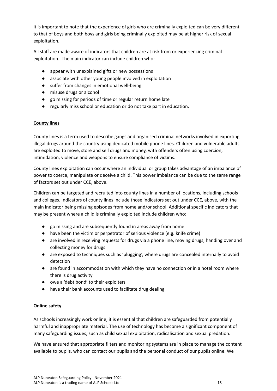It is important to note that the experience of girls who are criminally exploited can be very different to that of boys and both boys and girls being criminally exploited may be at higher risk of sexual exploitation.

All staff are made aware of indicators that children are at risk from or experiencing criminal exploitation. The main indicator can include children who:

- appear with unexplained gifts or new possessions
- associate with other young people involved in exploitation
- suffer from changes in emotional well-being
- misuse drugs or alcohol
- go missing for periods of time or regular return home late
- regularly miss school or education or do not take part in education.

#### **County lines**

County lines is a term used to describe gangs and organised criminal networks involved in exporting illegal drugs around the country using dedicated mobile phone lines. Children and vulnerable adults are exploited to move, store and sell drugs and money, with offenders often using coercion, intimidation, violence and weapons to ensure compliance of victims.

County lines exploitation can occur where an individual or group takes advantage of an imbalance of power to coerce, manipulate or deceive a child. This power imbalance can be due to the same range of factors set out under CCE, above.

Children can be targeted and recruited into county lines in a number of locations, including schools and colleges. Indicators of county lines include those indicators set out under CCE, above, with the main indicator being missing episodes from home and/or school. Additional specific indicators that may be present where a child is criminally exploited include children who:

- go missing and are subsequently found in areas away from home
- have been the victim or perpetrator of serious violence (e.g. knife crime)
- are involved in receiving requests for drugs via a phone line, moving drugs, handing over and collecting money for drugs
- are exposed to techniques such as 'plugging', where drugs are concealed internally to avoid detection
- are found in accommodation with which they have no connection or in a hotel room where there is drug activity
- owe a 'debt bond' to their exploiters
- have their bank accounts used to facilitate drug dealing.

#### **Online safety**

As schools increasingly work online, it is essential that children are safeguarded from potentially harmful and inappropriate material. The use of technology has become a significant component of many safeguarding issues, such as child sexual exploitation, radicalisation and sexual predation.

We have ensured that appropriate filters and monitoring systems are in place to manage the content available to pupils, who can contact our pupils and the personal conduct of our pupils online. We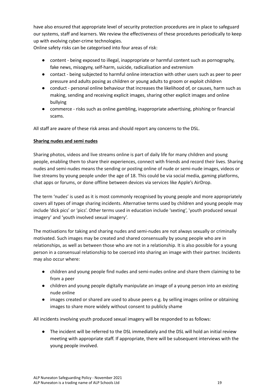have also ensured that appropriate level of security protection procedures are in place to safeguard our systems, staff and learners. We review the effectiveness of these procedures periodically to keep up with evolving cyber-crime technologies.

Online safety risks can be categorised into four areas of risk:

- content being exposed to illegal, inappropriate or harmful content such as pornography, fake news, misogyny, self-harm, suicide, radicalisation and extremism
- contact being subjected to harmful online interaction with other users such as peer to peer pressure and adults posing as children or young adults to groom or exploit children
- conduct personal online behaviour that increases the likelihood of, or causes, harm such as making, sending and receiving explicit images, sharing other explicit images and online bullying
- commerce risks such as online gambling, inappropriate advertising, phishing or financial scams.

All staff are aware of these risk areas and should report any concerns to the DSL.

## **Sharing nudes and semi nudes**

Sharing photos, videos and live streams online is part of daily life for many children and young people, enabling them to share their experiences, connect with friends and record their lives. Sharing nudes and semi-nudes means the sending or posting online of nude or semi-nude images, videos or live streams by young people under the age of 18. This could be via social media, gaming platforms, chat apps or forums, or done offline between devices via services like Apple's AirDrop.

The term 'nudes' is used as it is most commonly recognised by young people and more appropriately covers all types of image sharing incidents. Alternative terms used by children and young people may include 'dick pics' or 'pics'. Other terms used in education include 'sexting', 'youth produced sexual imagery' and 'youth involved sexual imagery'.

The motivations for taking and sharing nudes and semi-nudes are not always sexually or criminally motivated. Such images may be created and shared consensually by young people who are in relationships, as well as between those who are not in a relationship. It is also possible for a young person in a consensual relationship to be coerced into sharing an image with their partner. Incidents may also occur where:

- children and young people find nudes and semi-nudes online and share them claiming to be from a peer
- children and young people digitally manipulate an image of a young person into an existing nude online
- images created or shared are used to abuse peers e.g. by selling images online or obtaining images to share more widely without consent to publicly shame

All incidents involving youth produced sexual imagery will be responded to as follows:

● The incident will be referred to the DSL immediately and the DSL will hold an initial review meeting with appropriate staff. If appropriate, there will be subsequent interviews with the young people involved.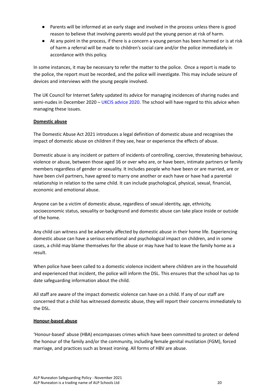- Parents will be informed at an early stage and involved in the process unless there is good reason to believe that involving parents would put the young person at risk of harm.
- At any point in the process, if there is a concern a young person has been harmed or is at risk of harm a referral will be made to children's social care and/or the police immediately in accordance with this policy.

In some instances, it may be necessary to refer the matter to the police. Once a report is made to the police, the report must be recorded, and the police will investigate. This may include seizure of devices and interviews with the young people involved.

The UK Council for Internet Safety updated its advice for managing incidences of sharing nudes and semi-nudes in December 2020 - UKCIS [advice](https://www.gov.uk/government/publications/sharing-nudes-and-semi-nudes-advice-for-education-settings-working-with-children-and-young-people/sharing-nudes-and-semi-nudes-advice-for-education-settings-working-with-children-and-young-people) 2020. The school will have regard to this advice when managing these issues.

## **Domestic abuse**

The Domestic Abuse Act 2021 introduces a legal definition of domestic abuse and recognises the impact of domestic abuse on children if they see, hear or experience the effects of abuse.

Domestic abuse is any incident or pattern of incidents of controlling, coercive, threatening behaviour, violence or abuse, between those aged 16 or over who are, or have been, intimate partners or family members regardless of gender or sexuality. It includes people who have been or are married, are or have been civil partners, have agreed to marry one another or each have or have had a parental relationship in relation to the same child. It can include psychological, physical, sexual, financial, economic and emotional abuse.

Anyone can be a victim of domestic abuse, regardless of sexual identity, age, ethnicity, socioeconomic status, sexuality or background and domestic abuse can take place inside or outside of the home.

Any child can witness and be adversely affected by domestic abuse in their home life. Experiencing domestic abuse can have a serious emotional and psychological impact on children, and in some cases, a child may blame themselves for the abuse or may have had to leave the family home as a result.

When police have been called to a domestic violence incident where children are in the household and experienced that incident, the police will inform the DSL. This ensures that the school has up to date safeguarding information about the child.

All staff are aware of the impact domestic violence can have on a child. If any of our staff are concerned that a child has witnessed domestic abuse, they will report their concerns immediately to the DSL.

#### **Honour-based abuse**

'Honour-based' abuse (HBA) encompasses crimes which have been committed to protect or defend the honour of the family and/or the community, including female genital mutilation (FGM), forced marriage, and practices such as breast ironing. All forms of HBV are abuse.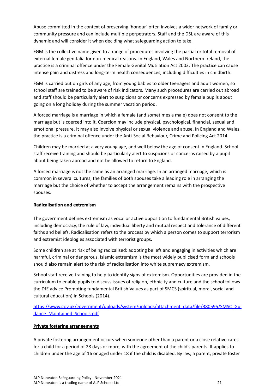Abuse committed in the context of preserving 'honour' often involves a wider network of family or community pressure and can include multiple perpetrators. Staff and the DSL are aware of this dynamic and will consider it when deciding what safeguarding action to take.

FGM is the collective name given to a range of procedures involving the partial or total removal of external female genitalia for non-medical reasons. In England, Wales and Northern Ireland, the practice is a criminal offence under the Female Genital Mutilation Act 2003. The practice can cause intense pain and distress and long-term health consequences, including difficulties in childbirth.

FGM is carried out on girls of any age, from young babies to older teenagers and adult women, so school staff are trained to be aware of risk indicators. Many such procedures are carried out abroad and staff should be particularly alert to suspicions or concerns expressed by female pupils about going on a long holiday during the summer vacation period.

A forced marriage is a marriage in which a female (and sometimes a male) does not consent to the marriage but is coerced into it. Coercion may include physical, psychological, financial, sexual and emotional pressure. It may also involve physical or sexual violence and abuse. In England and Wales, the practice is a criminal offence under the Anti-Social Behaviour, Crime and Policing Act 2014.

Children may be married at a very young age, and well below the age of consent in England. School staff receive training and should be particularly alert to suspicions or concerns raised by a pupil about being taken abroad and not be allowed to return to England.

A forced marriage is not the same as an arranged marriage. In an arranged marriage, which is common in several cultures, the families of both spouses take a leading role in arranging the marriage but the choice of whether to accept the arrangement remains with the prospective spouses.

#### **Radicalisation and extremism**

The government defines extremism as vocal or active opposition to fundamental British values, including democracy, the rule of law, individual liberty and mutual respect and tolerance of different faiths and beliefs. Radicalisation refers to the process by which a person comes to support terrorism and extremist ideologies associated with terrorist groups.

Some children are at risk of being radicalised: adopting beliefs and engaging in activities which are harmful, criminal or dangerous. Islamic extremism is the most widely publicised form and schools should also remain alert to the risk of radicalisation into white supremacy extremism.

School staff receive training to help to identify signs of extremism. Opportunities are provided in the curriculum to enable pupils to discuss issues of religion, ethnicity and culture and the school follows the DfE advice Promoting fundamental British Values as part of SMCS (spiritual, moral, social and cultural education) in Schools (2014).

[https://www.gov.uk/government/uploads/system/uploads/attachment\\_data/file/380595/SMSC\\_Gui](https://www.gov.uk/government/uploads/system/uploads/attachment_data/file/380595/SMSC_Guidance_Maintained_Schools.pdf) dance Maintained Schools.pdf

#### **Private fostering arrangements**

A private fostering arrangement occurs when someone other than a parent or a close relative cares for a child for a period of 28 days or more, with the agreement of the child's parents. It applies to children under the age of 16 or aged under 18 if the child is disabled. By law, a parent, private foster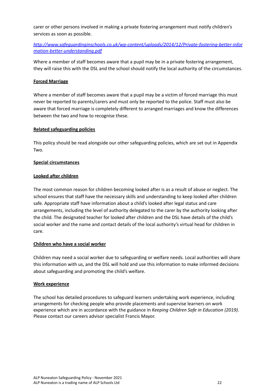carer or other persons involved in making a private fostering arrangement must notify children's services as soon as possible.

## *[http://www.safeguardinginschools.co.uk/wp-content/uploads/2014/12/Private-fostering-better-infor](http://www.safeguardinginschools.co.uk/wp-content/uploads/2014/12/Private-fostering-better-information-better-understanding.pdf) [mation-better-understanding.pdf](http://www.safeguardinginschools.co.uk/wp-content/uploads/2014/12/Private-fostering-better-information-better-understanding.pdf)*

Where a member of staff becomes aware that a pupil may be in a private fostering arrangement, they will raise this with the DSL and the school should notify the local authority of the circumstances.

#### **Forced Marriage**

Where a member of staff becomes aware that a pupil may be a victim of forced marriage this must never be reported to parents/carers and must only be reported to the police. Staff must also be aware that forced marriage is completely different to arranged marriages and know the differences between the two and how to recognise these.

#### **Related safeguarding policies**

This policy should be read alongside our other safeguarding policies, which are set out in Appendix Two.

#### **Special circumstances**

#### **Looked after children**

The most common reason for children becoming looked after is as a result of abuse or neglect. The school ensures that staff have the necessary skills and understanding to keep looked after children safe. Appropriate staff have information about a child's looked after legal status and care arrangements, including the level of authority delegated to the carer by the authority looking after the child. The designated teacher for looked after children and the DSL have details of the child's social worker and the name and contact details of the local authority's virtual head for children in care.

#### **Children who have a social worker**

Children may need a social worker due to safeguarding or welfare needs. Local authorities will share this information with us, and the DSL will hold and use this information to make informed decisions about safeguarding and promoting the child's welfare.

#### **Work experience**

The school has detailed procedures to safeguard learners undertaking work experience, including arrangements for checking people who provide placements and supervise learners on work experience which are in accordance with the guidance in *Keeping Children Safe in Education (2019)*. Please contact our careers advisor specialist Francis Mayor.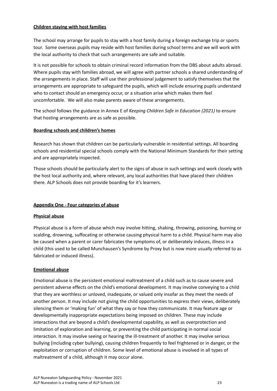#### **Children staying with host families**

The school may arrange for pupils to stay with a host family during a foreign exchange trip or sports tour. Some overseas pupils may reside with host families during school terms and we will work with the local authority to check that such arrangements are safe and suitable.

It is not possible for schools to obtain criminal record information from the DBS about adults abroad. Where pupils stay with families abroad, we will agree with partner schools a shared understanding of the arrangements in place. Staff will use their professional judgement to satisfy themselves that the arrangements are appropriate to safeguard the pupils, which will include ensuring pupils understand who to contact should an emergency occur, or a situation arise which makes them feel uncomfortable. We will also make parents aware of these arrangements.

The school follows the guidance in Annex E of *Keeping Children Safe in Education (2021)* to ensure that hosting arrangements are as safe as possible.

#### **Boarding schools and children's homes**

Research has shown that children can be particularly vulnerable in residential settings. All boarding schools and residential special schools comply with the National Minimum Standards for their setting and are appropriately inspected.

Those schools should be particularly alert to the signs of abuse in such settings and work closely with the host local authority and, where relevant, any local authorities that have placed their children there. ALP Schools does not provide boarding for it's learners.

#### **Appendix One - Four categories of abuse**

#### **Physical abuse**

Physical abuse is a form of abuse which may involve hitting, shaking, throwing, poisoning, burning or scalding, drowning, suffocating or otherwise causing physical harm to a child. Physical harm may also be caused when a parent or carer fabricates the symptoms of, or deliberately induces, illness in a child (this used to be called Munchausen's Syndrome by Proxy but is now more usually referred to as fabricated or induced illness).

#### **Emotional abuse**

Emotional abuse is the persistent emotional maltreatment of a child such as to cause severe and persistent adverse effects on the child's emotional development. It may involve conveying to a child that they are worthless or unloved, inadequate, or valued only insofar as they meet the needs of another person. It may include not giving the child opportunities to express their views, deliberately silencing them or 'making fun' of what they say or how they communicate. It may feature age or developmentally inappropriate expectations being imposed on children. These may include interactions that are beyond a child's developmental capability, as well as overprotection and limitation of exploration and learning, or preventing the child participating in normal social interaction. It may involve seeing or hearing the ill-treatment of another. It may involve serious bullying (including cyber bullying), causing children frequently to feel frightened or in danger, or the exploitation or corruption of children. Some level of emotional abuse is involved in all types of maltreatment of a child, although it may occur alone.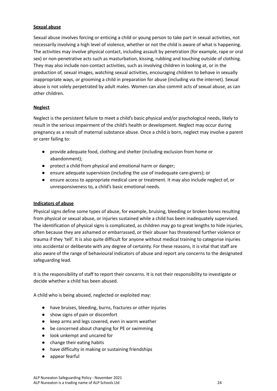#### **Sexual abuse**

Sexual abuse involves forcing or enticing a child or young person to take part in sexual activities, not necessarily involving a high level of violence, whether or not the child is aware of what is happening. The activities may involve physical contact, including assault by penetration (for example, rape or oral sex) or non-penetrative acts such as masturbation, kissing, rubbing and touching outside of clothing. They may also include non-contact activities, such as involving children in looking at, or in the production of, sexual images, watching sexual activities, encouraging children to behave in sexually inappropriate ways, or grooming a child in preparation for abuse (including via the internet). Sexual abuse is not solely perpetrated by adult males. Women can also commit acts of sexual abuse, as can other children.

#### **Neglect**

Neglect is the persistent failure to meet a child's basic physical and/or psychological needs, likely to result in the serious impairment of the child's health or development. Neglect may occur during pregnancy as a result of maternal substance abuse. Once a child is born, neglect may involve a parent or carer failing to:

- provide adequate food, clothing and shelter (including exclusion from home or abandonment);
- protect a child from physical and emotional harm or danger;
- ensure adequate supervision (including the use of inadequate care-givers); or
- ensure access to appropriate medical care or treatment. It may also include neglect of, or unresponsiveness to, a child's basic emotional needs.

#### **Indicators of abuse**

Physical signs define some types of abuse, for example, bruising, bleeding or broken bones resulting from physical or sexual abuse, or injuries sustained while a child has been inadequately supervised. The identification of physical signs is complicated, as children may go to great lengths to hide injuries, often because they are ashamed or embarrassed, or their abuser has threatened further violence or trauma if they 'tell'. It is also quite difficult for anyone without medical training to categorise injuries into accidental or deliberate with any degree of certainty. For these reasons, it is vital that staff are also aware of the range of behavioural indicators of abuse and report any concerns to the designated safeguarding lead.

It is the responsibility of staff to report their concerns. It is not their responsibility to investigate or decide whether a child has been abused.

A child who is being abused, neglected or exploited may:

- have bruises, bleeding, burns, fractures or other injuries
- show signs of pain or discomfort
- keep arms and legs covered, even in warm weather
- be concerned about changing for PE or swimming
- look unkempt and uncared for
- change their eating habits
- have difficulty in making or sustaining friendships
- appear fearful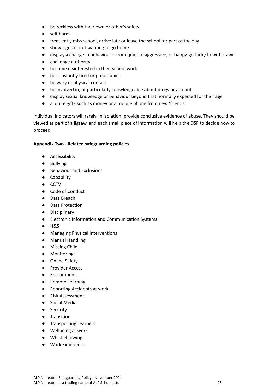- be reckless with their own or other's safety
- self-harm
- frequently miss school, arrive late or leave the school for part of the day
- show signs of not wanting to go home
- display a change in behaviour from quiet to aggressive, or happy-go-lucky to withdrawn
- challenge authority
- become disinterested in their school work
- be constantly tired or preoccupied
- be wary of physical contact
- be involved in, or particularly knowledgeable about drugs or alcohol
- display sexual knowledge or behaviour beyond that normally expected for their age
- acquire gifts such as money or a mobile phone from new 'friends'.

Individual indicators will rarely, in isolation, provide conclusive evidence of abuse. They should be viewed as part of a jigsaw, and each small piece of information will help the DSP to decide how to proceed.

#### **Appendix Two - Related safeguarding policies**

- Accessibility
- Bullying
- Behaviour and Exclusions
- Capability
- CCTV
- Code of Conduct
- Data Breach
- Data Protection
- Disciplinary
- Electronic Information and Communication Systems
- H&S
- Managing Physical Interventions
- Manual Handling
- Missing Child
- Monitoring
- Online Safety
- Provider Access
- Recruitment
- Remote Learning
- Reporting Accidents at work
- Risk Assessment
- Social Media
- Security
- Transition
- Transporting Learners
- Wellbeing at work
- Whistleblowing
- Work Experience